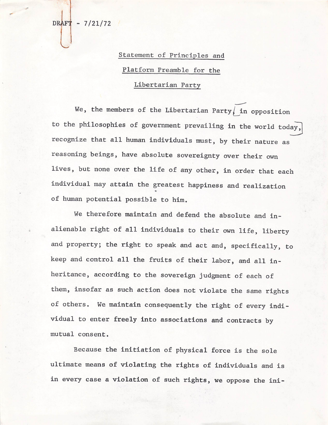$-7/21/72$ **DRAFT** 

## Statement of Principles and

## Platform Preamble for the

## Libertarian Party

We, the members of the Libertarian Party, in opposition to the philosophies of government prevailing in the world today, recognize that all human individuals must, by their nature as reasoning beings, have absolute sovereignty over their own lives, but none over the life of any other, in order that each individual may attain the greatest happiness and realization of human potential possible to him.

We therefore maintain and defend the absolute and inalienable right of all individuals to their own life, liberty and property; the right to speak and act and, specifically, to keep and control all the fruits of their labor, and all inheritance, according to the sovereign judgment of each of them, insofar as such action does not violate the same rights of others. We maintain consequently the right of every individual to enter freely into associations and contracts by mutual consent.

Because the initiation of physical force is the sole ultimate means of violating the rights of individuals and is in every case a violation of such rights, we oppose the ini